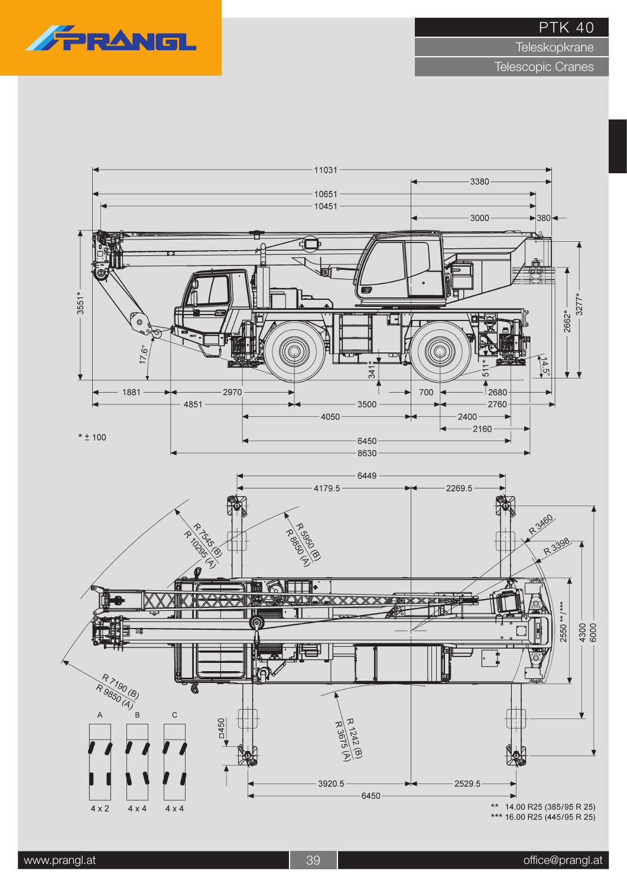

**Teleskopkrane** 

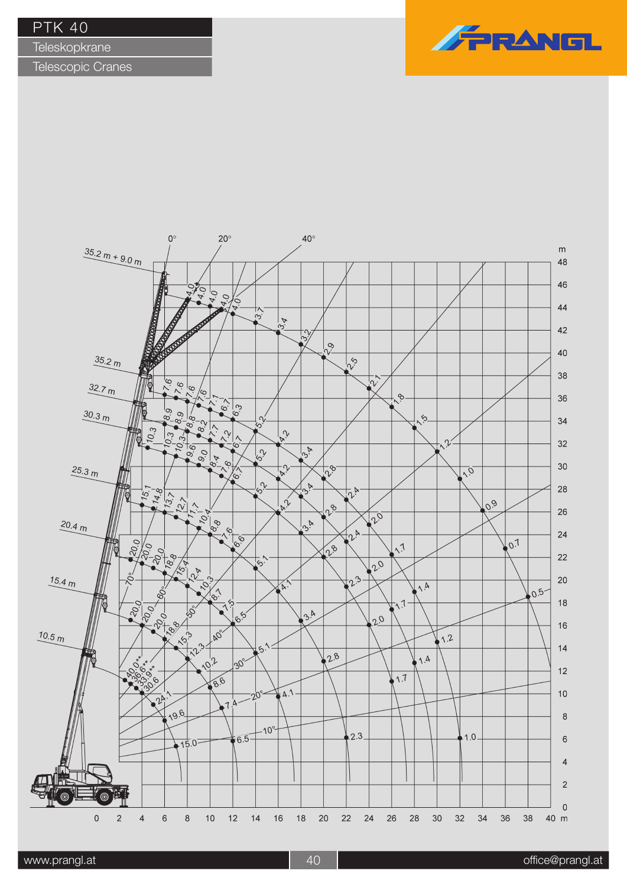**Teleskopkrane** 



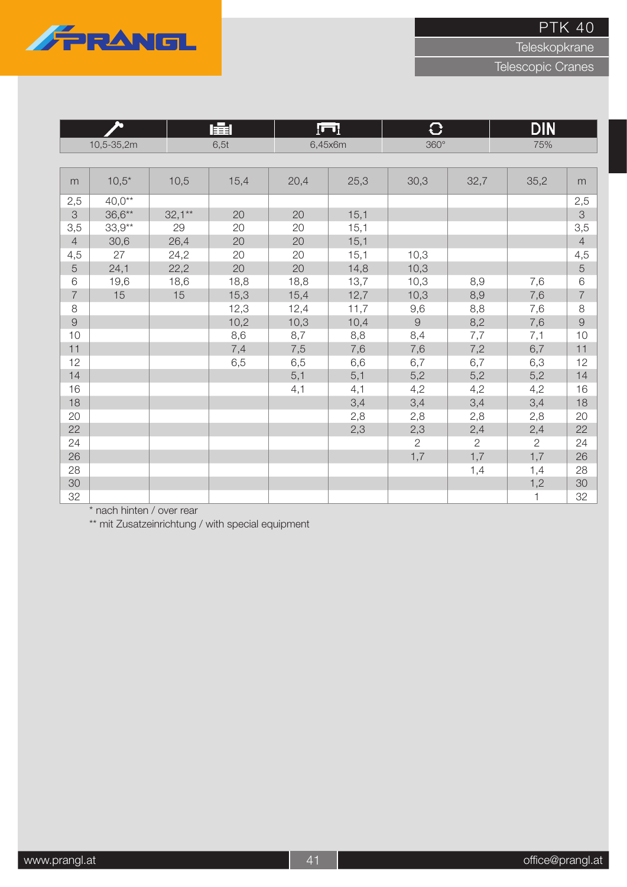

**Teleskopkrane** 

Telescopic Cranes

| 勉              |          |          | 肁l   |      | ſш      |                |                | <b>DIN</b>     |                |
|----------------|----------|----------|------|------|---------|----------------|----------------|----------------|----------------|
| 10,5-35,2m     |          |          | 6,5t |      | 6,45x6m |                |                | 75%            |                |
|                |          |          |      |      |         |                |                |                |                |
| m              | $10,5*$  | 10,5     | 15,4 | 20,4 | 25,3    | 30,3           | 32,7           | 35,2           | m              |
| 2,5            | $40,0**$ |          |      |      |         |                |                |                | 2,5            |
| 3              | $36,6**$ | $32,1**$ | 20   | 20   | 15,1    |                |                |                | 3              |
| 3,5            | $33,9**$ | 29       | 20   | 20   | 15,1    |                |                |                | 3,5            |
| $\overline{4}$ | 30,6     | 26,4     | 20   | 20   | 15,1    |                |                |                | $\overline{4}$ |
| 4,5            | 27       | 24,2     | 20   | 20   | 15,1    | 10,3           |                |                | 4,5            |
| $\overline{5}$ | 24,1     | 22,2     | 20   | 20   | 14,8    | 10,3           |                |                | $\overline{5}$ |
| $\,$ 6 $\,$    | 19,6     | 18,6     | 18,8 | 18,8 | 13,7    | 10,3           | 8,9            | 7,6            | $\mathbf 6$    |
| $\overline{7}$ | 15       | 15       | 15,3 | 15,4 | 12,7    | 10,3           | 8,9            | 7,6            | $\overline{7}$ |
| $\,8\,$        |          |          | 12,3 | 12,4 | 11,7    | 9,6            | 8,8            | 7,6            | $\,8\,$        |
| $\Theta$       |          |          | 10,2 | 10,3 | 10,4    | $\overline{9}$ | 8,2            | 7,6            | $\Theta$       |
| 10             |          |          | 8,6  | 8,7  | 8,8     | 8,4            | 7,7            | 7,1            | 10             |
| 11             |          |          | 7,4  | 7,5  | 7,6     | 7,6            | 7,2            | 6,7            | 11             |
| 12             |          |          | 6,5  | 6,5  | 6,6     | 6,7            | 6,7            | 6,3            | 12             |
| 14             |          |          |      | 5,1  | 5,1     | 5,2            | 5,2            | 5,2            | 14             |
| 16             |          |          |      | 4,1  | 4,1     | 4,2            | 4,2            | 4,2            | 16             |
| 18             |          |          |      |      | 3,4     | 3,4            | 3,4            | 3,4            | 18             |
| 20             |          |          |      |      | 2,8     | 2,8            | 2,8            | 2,8            | 20             |
| 22             |          |          |      |      | 2,3     | 2,3            | 2,4            | 2,4            | 22             |
| 24             |          |          |      |      |         | $\overline{2}$ | $\overline{2}$ | $\overline{2}$ | 24             |
| 26             |          |          |      |      |         | 1,7            | 1,7            | 1,7            | 26             |
| 28             |          |          |      |      |         |                | 1,4            | 1,4            | 28             |
| 30             |          |          |      |      |         |                |                | 1,2            | $30\,$         |
| 32             |          |          |      |      |         |                |                | 1              | 32             |

\* nach hinten / over rear

\*\* mit Zusatzeinrichtung / with special equipment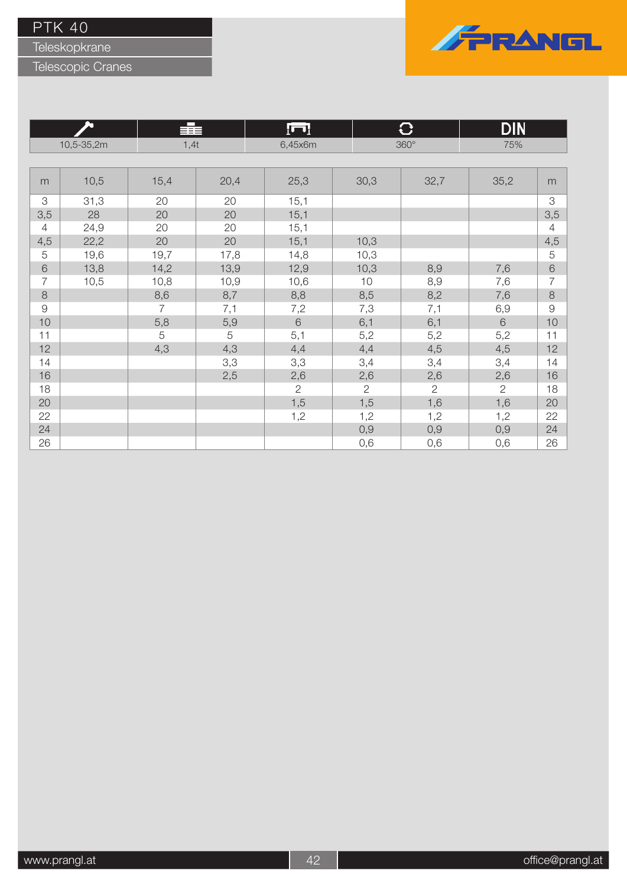Teleskopkrane



|                |      | 言言             |      | ſП             |                | O              | <u>DIN</u>      |                |
|----------------|------|----------------|------|----------------|----------------|----------------|-----------------|----------------|
| 10,5-35,2m     |      |                | 1,4t |                | $360^\circ$    |                | 75%             |                |
|                |      |                |      |                |                |                |                 |                |
| m              | 10,5 | 15,4           | 20,4 | 25,3           | 30,3           | 32,7           | 35,2            | m              |
| 3              | 31,3 | 20             | 20   | 15,1           |                |                |                 | 3              |
| 3,5            | 28   | 20             | 20   | 15,1           |                |                |                 | 3,5            |
| $\overline{4}$ | 24,9 | 20             | 20   | 15,1           |                |                |                 | $\overline{4}$ |
| 4,5            | 22,2 | 20             | 20   | 15,1           | 10,3           |                |                 | 4,5            |
| 5              | 19,6 | 19,7           | 17,8 | 14,8           | 10,3           |                |                 | $\mathbf 5$    |
| $\mathsf 6$    | 13,8 | 14,2           | 13,9 | 12,9           | 10,3           | 8,9            | 7,6             | $\,$ $\,$ $\,$ |
| $\overline{7}$ | 10,5 | 10,8           | 10,9 | 10,6           | 10             | 8,9            | 7,6             | $\overline{7}$ |
| $\,8\,$        |      | 8,6            | 8,7  | 8,8            | 8,5            | 8,2            | 7,6             | $\,8\,$        |
| $\Theta$       |      | $\overline{7}$ | 7,1  | 7,2            | 7,3            | 7,1            | 6,9             | $\Theta$       |
| 10             |      | 5,8            | 5,9  | $6\,$          | 6,1            | 6,1            | $6\phantom{.}6$ | 10             |
| 11             |      | 5              | 5    | 5,1            | 5,2            | 5,2            | 5,2             | 11             |
| 12             |      | 4,3            | 4,3  | 4,4            | 4,4            | 4,5            | 4,5             | 12             |
| 14             |      |                | 3,3  | 3,3            | 3,4            | 3,4            | 3,4             | 14             |
| 16             |      |                | 2,5  | 2,6            | 2,6            | 2,6            | 2,6             | 16             |
| 18             |      |                |      | $\overline{2}$ | $\overline{2}$ | $\overline{2}$ | $\overline{2}$  | 18             |
| 20             |      |                |      | 1,5            | 1,5            | 1,6            | 1,6             | 20             |
| 22             |      |                |      | 1,2            | 1,2            | 1,2            | 1,2             | 22             |
| 24             |      |                |      |                | 0,9            | 0,9            | 0,9             | 24             |
| 26             |      |                |      |                | 0,6            | 0,6            | 0,6             | 26             |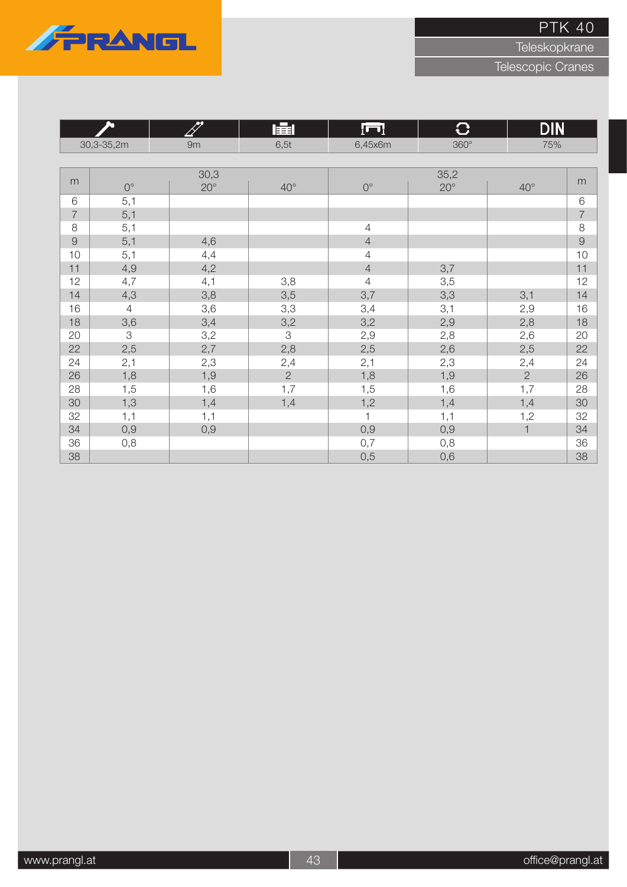

Teleskopkrane

| h              |                | TT           | 肁              | ludl           | $\overline{C}$ |                | <b>DIN</b>     |  |  |  |
|----------------|----------------|--------------|----------------|----------------|----------------|----------------|----------------|--|--|--|
| 30,3-35,2m     |                | 9m           | 6,5t           | 6,45x6m        | $360^\circ$    | 75%            |                |  |  |  |
|                |                |              |                |                |                |                |                |  |  |  |
| m              |                | 30,3         |                |                | 35,2           |                | m              |  |  |  |
|                | $0^{\circ}$    | $20^{\circ}$ | $40^{\circ}$   | $0^{\circ}$    | $20^{\circ}$   | $40^{\circ}$   |                |  |  |  |
| 6              | 5,1            |              |                |                |                |                | $\,6$          |  |  |  |
| $\overline{7}$ | 5,1            |              |                |                |                |                | $\overline{7}$ |  |  |  |
| 8              | 5,1            |              |                | $\overline{4}$ |                |                | 8              |  |  |  |
| $\overline{9}$ | 5,1            | 4,6          |                | $\overline{4}$ |                |                | $\overline{9}$ |  |  |  |
| 10             | 5,1            | 4,4          |                | $\overline{4}$ |                |                | 10             |  |  |  |
| 11             | 4,9            | 4,2          |                | $\overline{4}$ | 3,7            |                | 11             |  |  |  |
| 12             | 4,7            | 4,1          | 3,8            | $\overline{4}$ | 3,5            |                | 12             |  |  |  |
| 14             | 4,3            | 3,8          | 3,5            | 3,7            | 3,3            | 3,1            | 14             |  |  |  |
| 16             | $\overline{4}$ | 3,6          | 3,3            | 3,4            | 3,1            | 2,9            | 16             |  |  |  |
| 18             | 3,6            | 3,4          | 3,2            | 3,2            | 2,9            | 2,8            | 18             |  |  |  |
| 20             | 3              | 3,2          | 3              | 2,9            | 2,8            | 2,6            | 20             |  |  |  |
| 22             | 2,5            | 2,7          | 2,8            | 2,5            | 2,6            | 2,5            | 22             |  |  |  |
| 24             | 2,1            | 2,3          | 2,4            | 2,1            | 2,3            | 2,4            | 24             |  |  |  |
| 26             | 1,8            | 1,9          | $\overline{2}$ | 1,8            | 1,9            | $\overline{2}$ | 26             |  |  |  |
| 28             | 1,5            | 1,6          | 1,7            | 1,5            | 1,6            | 1,7            | 28             |  |  |  |
| 30             | 1,3            | 1,4          | 1,4            | 1,2            | 1,4            | 1,4            | 30             |  |  |  |
| 32             | 1,1            | 1,1          |                | $\mathbf{1}$   | 1,1            | 1,2            | 32             |  |  |  |
| 34             | 0,9            | 0,9          |                | 0,9            | 0,9            | $\mathbf{1}$   | 34             |  |  |  |
| 36             | 0,8            |              |                | 0,7            | 0,8            |                | 36             |  |  |  |
| 38             |                |              |                | 0,5            | 0,6            |                | 38             |  |  |  |